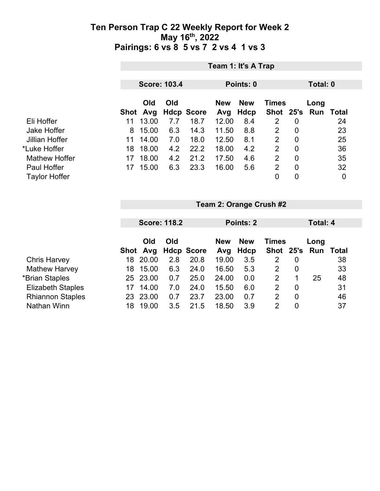|                      |      | Team 1: It's A Trap |     |                   |                   |                           |              |                |                             |          |  |  |
|----------------------|------|---------------------|-----|-------------------|-------------------|---------------------------|--------------|----------------|-----------------------------|----------|--|--|
|                      |      | <b>Score: 103.4</b> |     |                   |                   | Points: 0                 |              |                |                             | Total: 0 |  |  |
|                      | Shot | Old<br>Avg          | Old | <b>Hdcp Score</b> | <b>New</b><br>Avg | <b>New</b><br><b>Hdcp</b> | <b>Times</b> |                | Long<br>Shot 25's Run Total |          |  |  |
| Eli Hoffer           | 11   | 13.00               | 7.7 | 18.7              | 12.00             | 8.4                       | 2            | 0              |                             | 24       |  |  |
| <b>Jake Hoffer</b>   | 8    | 15.00               | 6.3 | 14.3              | 11.50             | 8.8                       | 2            | 0              |                             | 23       |  |  |
| Jillian Hoffer       | 11   | 14.00               | 7.0 | 18.0              | 12.50             | 8.1                       | 2            | 0              |                             | 25       |  |  |
| *Luke Hoffer         | 18   | 18.00               | 4.2 | 22.2              | 18.00             | 4.2                       | 2            | $\overline{0}$ |                             | 36       |  |  |
| <b>Mathew Hoffer</b> | 17   | 18.00               | 4.2 | 21.2              | 17.50             | 4.6                       | 2            | 0              |                             | 35       |  |  |
| Paul Hoffer          | 17   | 15.00               | 6.3 | 23.3              | 16.00             | 5.6                       | 2            | $\overline{0}$ |                             | 32       |  |  |
| <b>Taylor Hoffer</b> |      |                     |     |                   |                   |                           | 0            | 0              |                             | 0        |  |  |

|                          |     | <b>Score: 118.2</b> |     |                   |            | Points: 2  |               |   | Total: 4 |       |  |
|--------------------------|-----|---------------------|-----|-------------------|------------|------------|---------------|---|----------|-------|--|
|                          |     |                     |     |                   |            |            |               |   |          |       |  |
|                          |     | Old                 | Old |                   | <b>New</b> | <b>New</b> | <b>Times</b>  |   | Long     |       |  |
|                          |     | Shot Avg            |     | <b>Hdcp Score</b> | Avg        | Hdcp       | Shot 25's Run |   |          | Total |  |
| <b>Chris Harvey</b>      | 18  | 20.00               | 2.8 | 20.8              | 19.00      | 3.5        | 2             | 0 |          | 38    |  |
| <b>Mathew Harvey</b>     | 18  | 15.00               | 6.3 | 24.0              | 16.50      | 5.3        | 2             | 0 |          | 33    |  |
| *Brian Staples           | 25  | 23.00               | 0.7 | 25.0              | 24.00      | 0.0        | 2             | 1 | 25       | 48    |  |
| <b>Elizabeth Staples</b> | 17  | 14.00               | 7.0 | 24.0              | 15.50      | 6.0        | 2             | 0 |          | 31    |  |
| <b>Rhiannon Staples</b>  | 23. | 23.00               | 0.7 | 23.7              | 23.00      | 0.7        | 2             | 0 |          | 46    |  |
| Nathan Winn              | 18  | 19.00               | 3.5 | 21.5              | 18.50      | 3.9        | 2             | 0 |          | 37    |  |

**Team 2: Orange Crush #2**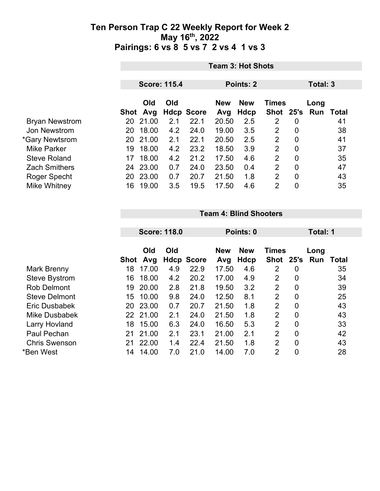|                       | <b>Team 3: Hot Shots</b> |                     |     |                                          |       |           |                |                |     |       |
|-----------------------|--------------------------|---------------------|-----|------------------------------------------|-------|-----------|----------------|----------------|-----|-------|
|                       |                          | <b>Score: 115.4</b> |     |                                          |       | Points: 2 |                | Total: 3       |     |       |
|                       | Old<br>Old               |                     |     | <b>New</b><br><b>New</b><br><b>Times</b> |       |           | Long           |                |     |       |
|                       |                          | Shot Avg            |     | <b>Hdcp Score</b>                        | Avg   | Hdcp      | Shot 25's      |                | Run | Total |
| <b>Bryan Newstrom</b> | 20                       | 21.00               | 2.1 | 22.1                                     | 20.50 | 2.5       | 2              | 0              |     | 41    |
| Jon Newstrom          | 20                       | 18.00               | 4.2 | 24.0                                     | 19.00 | 3.5       | $\overline{2}$ | $\overline{0}$ |     | 38    |
| *Gary Newtsrom        | 20                       | 21.00               | 2.1 | 22.1                                     | 20.50 | 2.5       | 2              | 0              |     | 41    |
| Mike Parker           | 19                       | 18.00               | 4.2 | 23.2                                     | 18.50 | 3.9       | 2              | $\overline{0}$ |     | 37    |
| <b>Steve Roland</b>   | 17                       | 18.00               | 4.2 | 21.2                                     | 17.50 | 4.6       | 2              | $\mathbf 0$    |     | 35    |
| <b>Zach Smithers</b>  | 24                       | 23.00               | 0.7 | 24.0                                     | 23.50 | 0.4       | 2              | $\overline{0}$ |     | 47    |
| Roger Specht          | 20                       | 23.00               | 0.7 | 20.7                                     | 21.50 | 1.8       | 2              | $\overline{0}$ |     | 43    |
| Mike Whitney          | 16                       | 19.00               | 3.5 | 19.5                                     | 17.50 | 4.6       | $\overline{2}$ | 0              |     | 35    |

#### **Team 4: Blind Shooters**

| <b>Score: 118.0</b> |          |                                                    |            | Total: 1                          |                       |                                 |                |                                                  |             |
|---------------------|----------|----------------------------------------------------|------------|-----------------------------------|-----------------------|---------------------------------|----------------|--------------------------------------------------|-------------|
|                     | Old      | Old                                                |            | <b>New</b>                        | <b>New</b>            |                                 |                | Long                                             |             |
|                     |          |                                                    |            |                                   |                       |                                 |                |                                                  | Total<br>35 |
|                     |          |                                                    |            |                                   |                       |                                 |                |                                                  | 34          |
| 19                  | 20.00    | 2.8                                                | 21.8       | 19.50                             | 3.2                   | $\overline{2}$                  | $\overline{0}$ |                                                  | 39          |
| 15                  | 10.00    | 9.8                                                | 24.0       | 12.50                             | 8.1                   | $\overline{2}$                  | $\overline{0}$ |                                                  | 25          |
| 20                  |          | 0.7                                                | 20.7       | 21.50                             | 1.8                   | 2                               | $\overline{0}$ |                                                  | 43          |
|                     |          | 2.1                                                | 24.0       | 21.50                             | 1.8                   | 2                               | $\overline{0}$ |                                                  | 43          |
| 18                  | 15.00    | 6.3                                                | 24.0       | 16.50                             | 5.3                   | $\overline{2}$                  | $\overline{0}$ |                                                  | 33          |
| 21                  | 21.00    | 2.1                                                | 23.1       | 21.00                             | 2.1                   | $\overline{2}$                  | 0              |                                                  | 42          |
| 21                  | 22.00    | 1.4                                                | 22.4       | 21.50                             | 1.8                   | 2                               | $\overline{0}$ |                                                  | 43          |
| 14                  | 14.00    | 7.0                                                | 21.0       | 14.00                             | 7.0                   | $\overline{2}$                  | 0              |                                                  | 28          |
|                     | 18<br>16 | Avg<br>Shot<br>17.00<br>18.00<br>23.00<br>22 21.00 | 4.9<br>4.2 | <b>Hdcp Score</b><br>22.9<br>20.2 | Avg<br>17.50<br>17.00 | Points: 0<br>Hdcp<br>4.6<br>4.9 | 2<br>2         | <b>Times</b><br>Shot 25's<br>$\overline{0}$<br>0 | Run         |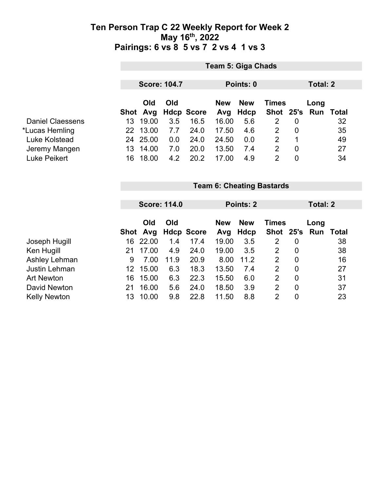|                         |                     | Team 5: Giga Chads |     |                                          |       |      |                |                |                  |    |  |
|-------------------------|---------------------|--------------------|-----|------------------------------------------|-------|------|----------------|----------------|------------------|----|--|
|                         | <b>Score: 104.7</b> |                    |     | Points: 0                                |       |      |                | Total: 2       |                  |    |  |
|                         | Old<br>Old          |                    |     | <b>New</b><br><b>New</b><br><b>Times</b> |       |      | Long           |                |                  |    |  |
|                         |                     | Shot Avg           |     | <b>Hdcp Score</b>                        | Avg   | Hdcp | Shot 25's      |                | <b>Run Total</b> |    |  |
| <b>Daniel Claessens</b> | 13.                 | 19.00              | 3.5 | 16.5                                     | 16.00 | 5.6  | 2              | $\overline{0}$ |                  | 32 |  |
| *Lucas Hemling          |                     | 22 13.00           | 7.7 | 24.0                                     | 17.50 | 4.6  | 2              | 0              |                  | 35 |  |
| Luke Kolstead           |                     | 24 25.00           | 0.0 | 24.0                                     | 24.50 | 0.0  | 2              |                |                  | 49 |  |
| Jeremy Mangen           | 13                  | 14.00              | 7.0 | 20.0                                     | 13.50 | 7.4  | $\overline{2}$ | 0              |                  | 27 |  |
| <b>Luke Peikert</b>     | 16                  | 18.00              | 4.2 | 20.2                                     | 17.00 | 4.9  | 2              | 0              |                  | 34 |  |

|                      |      | <b>Score: 114.0</b> |      |                |            | Points: 2  |                |                | Total: 2 |       |  |
|----------------------|------|---------------------|------|----------------|------------|------------|----------------|----------------|----------|-------|--|
|                      |      |                     |      |                |            |            |                |                |          |       |  |
|                      |      | Old                 | Old  |                | <b>New</b> | <b>New</b> | <b>Times</b>   |                | Long     |       |  |
|                      | Shot |                     |      | Avg Hdcp Score | Avg        | Hdcp       | Shot 25's      |                | Run      | Total |  |
| Joseph Hugill        | 16   | 22.00               | 1.4  | 17.4           | 19.00      | 3.5        | $\overline{2}$ | 0              |          | 38    |  |
| Ken Hugill           | 21   | 17.00               | 4.9  | 24.0           | 19.00      | 3.5        | 2              | 0              |          | 38    |  |
| Ashley Lehman        | 9    | 7.00                | 11.9 | 20.9           | 8.00       | 11.2       | $\overline{2}$ | $\overline{0}$ |          | 16    |  |
| <b>Justin Lehman</b> | 12   | 15.00               | 6.3  | 18.3           | 13.50      | 7.4        | 2              | $\overline{0}$ |          | 27    |  |
| <b>Art Newton</b>    | 16   | 15.00               | 6.3  | 22.3           | 15.50      | 6.0        | 2              | $\overline{0}$ |          | 31    |  |
| David Newton         | 21   | 16.00               | 5.6  | 24.0           | 18.50      | 3.9        | 2              | $\overline{0}$ |          | 37    |  |
| <b>Kelly Newton</b>  | 13   | 10.00               | 9.8  | 22.8           | 11.50      | 8.8        | 2              | 0              |          | 23    |  |

**Team 6: Cheating Bastards**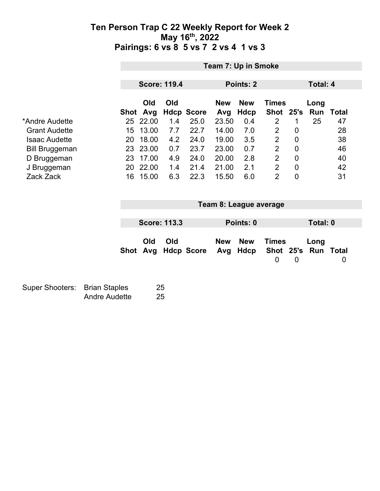|                                                                                                                                    |                                              | Team 7: Up in Smoke          |                                                                                    |                                                      |                                                                           |                                                                                  |                                                                            |                                                                                                                                                    |                                                                       |                   |                                                        |  |
|------------------------------------------------------------------------------------------------------------------------------------|----------------------------------------------|------------------------------|------------------------------------------------------------------------------------|------------------------------------------------------|---------------------------------------------------------------------------|----------------------------------------------------------------------------------|----------------------------------------------------------------------------|----------------------------------------------------------------------------------------------------------------------------------------------------|-----------------------------------------------------------------------|-------------------|--------------------------------------------------------|--|
|                                                                                                                                    |                                              |                              |                                                                                    | <b>Score: 119.4</b>                                  |                                                                           |                                                                                  | Points: 2                                                                  |                                                                                                                                                    |                                                                       | <b>Total: 4</b>   |                                                        |  |
| *Andre Audette<br><b>Grant Audette</b><br><b>Isaac Audette</b><br><b>Bill Bruggeman</b><br>D Bruggeman<br>J Bruggeman<br>Zack Zack |                                              | Shot<br>15<br>20<br>20<br>16 | Old<br>Avg<br>25 22.00<br>13.00<br>18.00<br>23 23.00<br>23 17.00<br>22.00<br>15.00 | Old<br>1.4<br>7.7<br>4.2<br>0.7<br>4.9<br>1.4<br>6.3 | <b>Hdcp Score</b><br>25.0<br>22.7<br>24.0<br>23.7<br>24.0<br>21.4<br>22.3 | <b>New</b><br>Avg<br>23.50<br>14.00<br>19.00<br>23.00<br>20.00<br>21.00<br>15.50 | <b>New</b><br><b>Hdcp</b><br>0.4<br>7.0<br>3.5<br>0.7<br>2.8<br>2.1<br>6.0 | <b>Times</b><br>Shot<br>$\overline{2}$<br>$\overline{2}$<br>$\overline{2}$<br>$\overline{2}$<br>$\overline{2}$<br>$\overline{2}$<br>$\overline{2}$ | 25's<br>1<br>0<br>0<br>$\mathbf 0$<br>$\mathbf 0$<br>0<br>$\mathbf 0$ | Long<br>Run<br>25 | <b>Total</b><br>47<br>28<br>38<br>46<br>40<br>42<br>31 |  |
|                                                                                                                                    |                                              |                              |                                                                                    | <b>Score: 113.3</b>                                  |                                                                           | Team 8: League average<br>Points: 0<br>Total: 0                                  |                                                                            |                                                                                                                                                    |                                                                       |                   |                                                        |  |
|                                                                                                                                    |                                              | Shot                         | Old<br>Avg                                                                         | Old                                                  | <b>Hdcp Score</b>                                                         | <b>New</b><br>Avg                                                                | <b>New</b><br><b>Hdcp</b>                                                  | <b>Times</b><br>Shot 25's<br>$\overline{0}$                                                                                                        | $\mathbf 0$                                                           | Long              | <b>Run Total</b><br>0                                  |  |
| <b>Super Shooters:</b>                                                                                                             | <b>Brian Staples</b><br><b>Andre Audette</b> |                              |                                                                                    | 25<br>25                                             |                                                                           |                                                                                  |                                                                            |                                                                                                                                                    |                                                                       |                   |                                                        |  |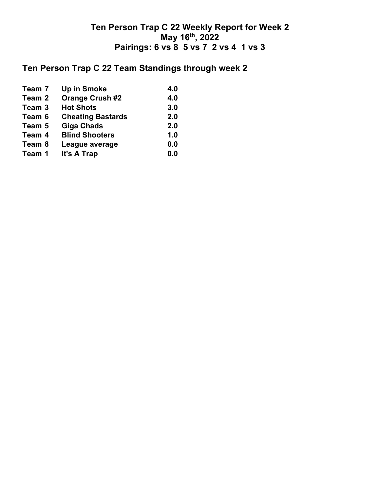## **Ten Person Trap C 22 Team Standings through week 2**

| Team 7 | <b>Up in Smoke</b>       | 4.0 |
|--------|--------------------------|-----|
| Team 2 | <b>Orange Crush #2</b>   | 4.0 |
| Team 3 | <b>Hot Shots</b>         | 3.0 |
| Team 6 | <b>Cheating Bastards</b> | 2.0 |
| Team 5 | <b>Giga Chads</b>        | 2.0 |
| Team 4 | <b>Blind Shooters</b>    | 1.0 |
| Team 8 | League average           | 0.0 |
| Team 1 | It's A Trap              | 0.0 |
|        |                          |     |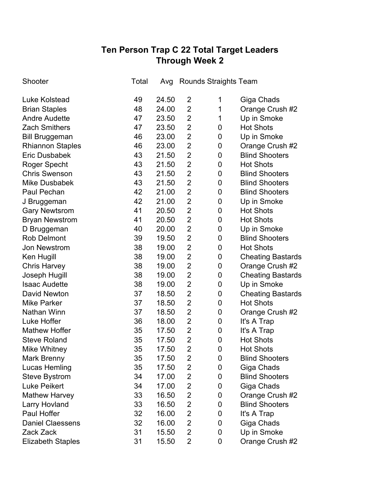# **Ten Person Trap C 22 Total Target Leaders Through Week 2**

| Shooter                  | Total |       | Avg Rounds Straights Team |             |                          |
|--------------------------|-------|-------|---------------------------|-------------|--------------------------|
| <b>Luke Kolstead</b>     | 49    | 24.50 | 2                         | 1           | Giga Chads               |
| <b>Brian Staples</b>     | 48    | 24.00 | 2                         | 1           | Orange Crush #2          |
| <b>Andre Audette</b>     | 47    | 23.50 | 2                         | 1           | Up in Smoke              |
| <b>Zach Smithers</b>     | 47    | 23.50 | 2                         | 0           | <b>Hot Shots</b>         |
| <b>Bill Bruggeman</b>    | 46    | 23.00 | $\overline{2}$            | 0           | Up in Smoke              |
| <b>Rhiannon Staples</b>  | 46    | 23.00 | $\overline{2}$            | 0           | Orange Crush #2          |
| <b>Eric Dusbabek</b>     | 43    | 21.50 | $\overline{2}$            | 0           | <b>Blind Shooters</b>    |
| <b>Roger Specht</b>      | 43    | 21.50 | 2                         | 0           | <b>Hot Shots</b>         |
| <b>Chris Swenson</b>     | 43    | 21.50 | $\overline{2}$            | 0           | <b>Blind Shooters</b>    |
| <b>Mike Dusbabek</b>     | 43    | 21.50 | $\overline{2}$            | 0           | <b>Blind Shooters</b>    |
| Paul Pechan              | 42    | 21.00 | 2                         | 0           | <b>Blind Shooters</b>    |
| J Bruggeman              | 42    | 21.00 | $\overline{2}$            | 0           | Up in Smoke              |
| <b>Gary Newtsrom</b>     | 41    | 20.50 | 2                         | 0           | <b>Hot Shots</b>         |
| <b>Bryan Newstrom</b>    | 41    | 20.50 | $\overline{2}$            | $\mathbf 0$ | <b>Hot Shots</b>         |
| D Bruggeman              | 40    | 20.00 | 2                         | 0           | Up in Smoke              |
| <b>Rob Delmont</b>       | 39    | 19.50 | $\overline{2}$            | $\mathbf 0$ | <b>Blind Shooters</b>    |
| <b>Jon Newstrom</b>      | 38    | 19.00 | $\overline{2}$            | 0           | <b>Hot Shots</b>         |
| Ken Hugill               | 38    | 19.00 | $\overline{2}$            | 0           | <b>Cheating Bastards</b> |
| <b>Chris Harvey</b>      | 38    | 19.00 | $\overline{2}$            | 0           | Orange Crush #2          |
| Joseph Hugill            | 38    | 19.00 | 2                         | 0           | <b>Cheating Bastards</b> |
| <b>Isaac Audette</b>     | 38    | 19.00 | $\overline{2}$            | 0           | Up in Smoke              |
| <b>David Newton</b>      | 37    | 18.50 | 2                         | 0           | <b>Cheating Bastards</b> |
| <b>Mike Parker</b>       | 37    | 18.50 | $\overline{2}$            | 0           | <b>Hot Shots</b>         |
| <b>Nathan Winn</b>       | 37    | 18.50 | $\overline{2}$            | 0           | Orange Crush #2          |
| Luke Hoffer              | 36    | 18.00 | $\overline{2}$            | 0           | It's A Trap              |
| <b>Mathew Hoffer</b>     | 35    | 17.50 | $\overline{2}$            | 0           | It's A Trap              |
| <b>Steve Roland</b>      | 35    | 17.50 | 2                         | 0           | <b>Hot Shots</b>         |
| <b>Mike Whitney</b>      | 35    | 17.50 | $\overline{2}$            | 0           | <b>Hot Shots</b>         |
| Mark Brenny              | 35    | 17.50 | 2                         | 0           | <b>Blind Shooters</b>    |
| Lucas Hemling            | 35    | 17.50 | $\overline{2}$            | 0           | Giga Chads               |
| <b>Steve Bystrom</b>     | 34    | 17.00 | 2                         | 0           | <b>Blind Shooters</b>    |
| <b>Luke Peikert</b>      | 34    | 17.00 | $\overline{2}$            | 0           | Giga Chads               |
| <b>Mathew Harvey</b>     | 33    | 16.50 | $\overline{2}$            | 0           | Orange Crush #2          |
| <b>Larry Hovland</b>     | 33    | 16.50 | $\overline{2}$            | 0           | <b>Blind Shooters</b>    |
| Paul Hoffer              | 32    | 16.00 | $\overline{2}$            | 0           | It's A Trap              |
| <b>Daniel Claessens</b>  | 32    | 16.00 | $\overline{2}$            | 0           | Giga Chads               |
| Zack Zack                | 31    | 15.50 | $\overline{2}$            | 0           | Up in Smoke              |
| <b>Elizabeth Staples</b> | 31    | 15.50 | $\overline{2}$            | 0           | Orange Crush #2          |